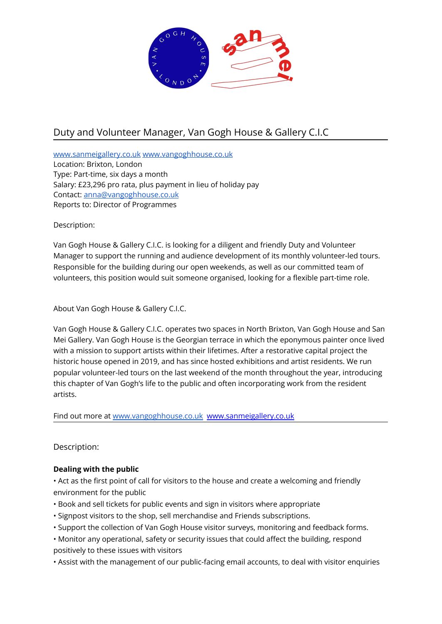

# Duty and Volunteer Manager, Van Gogh House & Gallery C.I.C

[www.sanmeigallery.co.uk](http://www.sanmeigallery.co.uk) [www.vangoghhouse.co.uk](http://www.vangoghhouse.co.uk) Location: Brixton, London Type: Part-time, six days a month Salary: £23,296 pro rata, plus payment in lieu of holiday pay Contact: [anna@vangoghhouse.co.uk](mailto:anna@vangoghhouse.co.uk) Reports to: Director of Programmes

Description:

Van Gogh House & Gallery C.I.C. is looking for a diligent and friendly Duty and Volunteer Manager to support the running and audience development of its monthly volunteer-led tours. Responsible for the building during our open weekends, as well as our committed team of volunteers, this position would suit someone organised, looking for a flexible part-time role.

About Van Gogh House & Gallery C.I.C.

Van Gogh House & Gallery C.I.C. operates two spaces in North Brixton, Van Gogh House and San Mei Gallery. Van Gogh House is the Georgian terrace in which the eponymous painter once lived with a mission to support artists within their lifetimes. After a restorative capital project the historic house opened in 2019, and has since hosted exhibitions and artist residents. We run popular volunteer-led tours on the last weekend of the month throughout the year, introducing this chapter of Van Gogh's life to the public and often incorporating work from the resident artists.

Find out more at [www.vangoghhouse.co.uk](http://www.vangoghhouse.co.uk) [www.sanmeigallery.co.uk](http://www.sanmeigallery.co.uk)

Description:

# **Dealing with the public**

• Act as the first point of call for visitors to the house and create a welcoming and friendly environment for the public

- Book and sell tickets for public events and sign in visitors where appropriate
- Signpost visitors to the shop, sell merchandise and Friends subscriptions.
- Support the collection of Van Gogh House visitor surveys, monitoring and feedback forms.
- Monitor any operational, safety or security issues that could affect the building, respond positively to these issues with visitors
- Assist with the management of our public-facing email accounts, to deal with visitor enquiries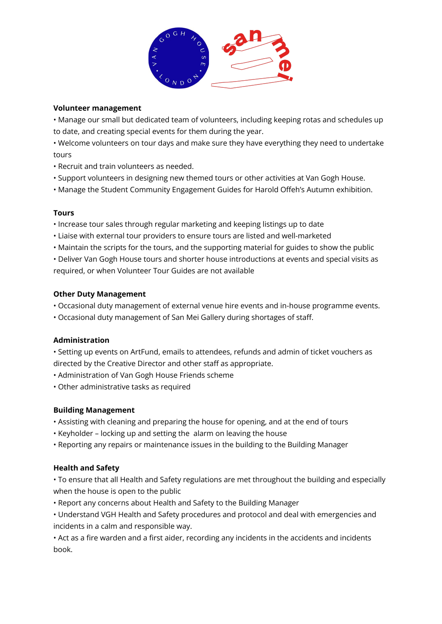

### **Volunteer management**

• Manage our small but dedicated team of volunteers, including keeping rotas and schedules up to date, and creating special events for them during the year.

• Welcome volunteers on tour days and make sure they have everything they need to undertake tours

- Recruit and train volunteers as needed.
- Support volunteers in designing new themed tours or other activities at Van Gogh House.
- Manage the Student Community Engagement Guides for Harold Offeh's Autumn exhibition.

## **Tours**

- Increase tour sales through regular marketing and keeping listings up to date
- Liaise with external tour providers to ensure tours are listed and well-marketed
- Maintain the scripts for the tours, and the supporting material for guides to show the public
- Deliver Van Gogh House tours and shorter house introductions at events and special visits as required, or when Volunteer Tour Guides are not available

## **Other Duty Management**

- Occasional duty management of external venue hire events and in-house programme events.
- Occasional duty management of San Mei Gallery during shortages of staff.

#### **Administration**

• Setting up events on ArtFund, emails to attendees, refunds and admin of ticket vouchers as directed by the Creative Director and other staff as appropriate.

- Administration of Van Gogh House Friends scheme
- Other administrative tasks as required

# **Building Management**

- Assisting with cleaning and preparing the house for opening, and at the end of tours
- Keyholder locking up and setting the alarm on leaving the house
- Reporting any repairs or maintenance issues in the building to the Building Manager

#### **Health and Safety**

- To ensure that all Health and Safety regulations are met throughout the building and especially when the house is open to the public
- Report any concerns about Health and Safety to the Building Manager
- Understand VGH Health and Safety procedures and protocol and deal with emergencies and incidents in a calm and responsible way.

• Act as a fire warden and a first aider, recording any incidents in the accidents and incidents book.